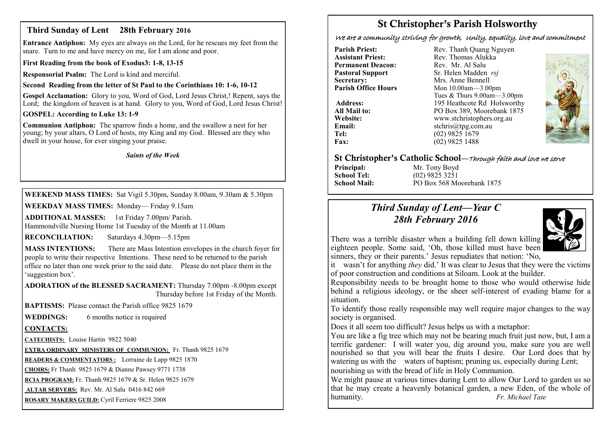# **Third Sunday of Lent 28th February 2016**

**Entrance Antiphon:** My eyes are always on the Lord, for he rescues my feet from the snare. Turn to me and have mercy on me, for I am alone and poor.

**First Reading from the book of Exodus3: 1-8, 13-15**

**Responsorial Psalm:** The Lord is kind and merciful.

# **Second Reading from the letter of St Paul to the Corinthians 10: 1-6, 10-12**

**Gospel Acclamation:** Glory to you, Word of God, Lord Jesus Christ,! Repent, says the Lord; the kingdom of heaven is at hand. Glory to you, Word of God, Lord Jesus Christ!

**GOSPEL: According to Luke 13: 1-9**

**Communion Antiphon:** The sparrow finds a home, and the swallow a nest for her young; by your altars, O Lord of hosts, my King and my God. Blessed are they who dwell in your house, for ever singing your praise.

#### *Saints of the Week*

**WEEKEND MASS TIMES:** Sat Vigil 5.30pm, Sunday 8.00am, 9.30am & 5.30pm

**WEEKDAY MASS TIMES:** Monday— Friday 9.15am

**ADDITIONAL MASSES:** 1st Friday 7.00pm/ Parish. Hammondville Nursing Home 1st Tuesday of the Month at 11.00am

**RECONCILIATION:** Saturdays 4.30pm—5.15pm

**MASS INTENTIONS:** There are Mass Intention envelopes in the church foyer for people to write their respective Intentions. These need to be returned to the parish office no later than one week prior to the said date. Please do not place them in the 'suggestion box'.

**ADORATION of the BLESSED SACRAMENT:** Thursday 7.00pm -8.00pm except Thursday before 1st Friday of the Month.

**BAPTISMS:** Please contact the Parish office 9825 1679

**WEDDINGS:** 6 months notice is required

## **CONTACTS:**

**CATECHISTS:** Louise Hartin 9822 5040

**EXTRA ORDINARY MINISTERS OF COMMUNION:** Fr. Thanh 9825 1679

**READERS & COMMENTATORS :** Lorraine de Lapp 9825 1870

**CHOIRS:** Fr Thanh 9825 1679 & Dianne Pawsey 9771 1738

**RCIA PROGRAM:** Fr. Thanh 9825 1679 & Sr. Helen 9825 1679

**ALTAR SERVERS:** Rev. Mr. Al Salu 0416 842 669

**ROSARY MAKERS GUILD:** Cyril Ferriere 9825 2008

# **St Christopher's Parish Holsworthy**

We are a community striving for growth, Unity, equality, love and commitment

**Parish Priest:** Rev. Thanh Quang Nguyen<br> **Assistant Priest:** Rev. Thomas Alukka **Permanent Deacon:**<br>**Pastoral Support Secretary:** Mrs. Anne Bennell<br> **Parish Office Hours** Mon 10.00am - 3.00

Rev. Thomas Alukka<br>Rev. Mr. Al Salu **Pastoral Support** Sr. Helen Madden *rsj*<br>
Secretary: Mrs. Anne Bennell **Mon 10.00am—3.00pm** Tues & Thurs 9.00am—3.00pm Address: 195 Heathcote Rd Holsworthy **All Mail to:** PO Box 389, Moorebank 1875 **Website:** www.stchristophers.org.au<br> **Email:** stchris@tng.com au **Email:** stchris@tpg.com.au<br> **Tel:** (02) 9825 1679 **Tel:** (02) 9825 1679<br>**Fax:** (02) 9825 1488 **Fax:** (02) 9825 1488



# **St Christopher's Catholic School—**Through faith and love we serve

**Principal:** Mr. Tony Boyd<br> **School Tel:** (02) 9825 3251

**School Tel:** (02) 9825 3251 **School Mail:** PO Box 568 Moorebank 1875

# *Third Sunday of Lent—Year C 28th February 2016*



There was a terrible disaster when a building fell down killing eighteen people. Some said, 'Oh, those killed must have been sinners, they or their parents.' Jesus repudiates that notion: 'No,

it wasn't for anything *they* did.' It was clear to Jesus that they were the victims of poor construction and conditions at Siloam. Look at the builder.

Responsibility needs to be brought home to those who would otherwise hide behind a religious ideology, or the sheer self-interest of evading blame for a situation.

To identify those really responsible may well require major changes to the way society is organised.

Does it all seem too difficult? Jesus helps us with a metaphor:

You are like a fig tree which may not be bearing much fruit just now, but, I am a terrific gardener: I will water you, dig around you, make sure you are well nourished so that you will bear the fruits I desire. Our Lord does that by watering us with the waters of baptism; pruning us, especially during Lent; nourishing us with the bread of life in Holy Communion.

We might pause at various times during Lent to allow Our Lord to garden us so that he may create a heavenly botanical garden, a new Eden, of the whole of humanity. *Fr. Michael Tate*